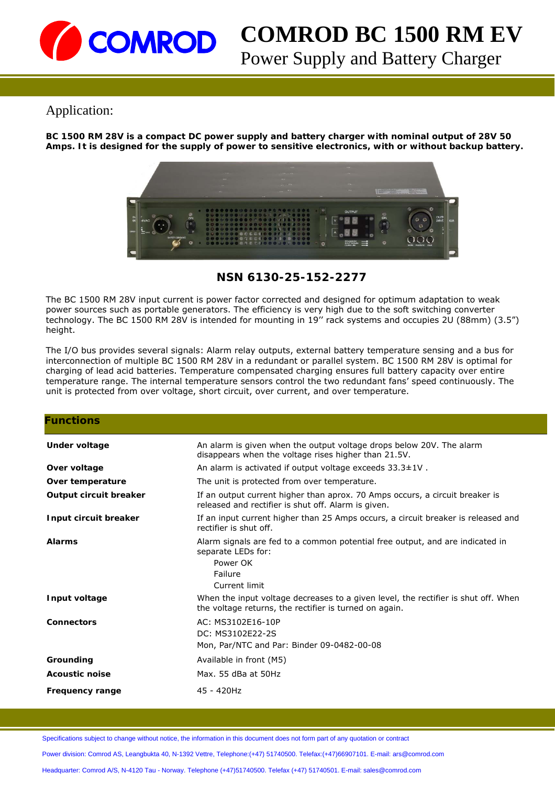

# **COMROD BC 1500 RM EV**

Power Supply and Battery Charger

# Application:

**BC 1500 RM 28V is a compact DC power supply and battery charger with nominal output of 28V 50 Amps. It is designed for the supply of power to sensitive electronics, with or without backup battery.** 



**NSN 6130-25-152-2277**

The BC 1500 RM 28V input current is power factor corrected and designed for optimum adaptation to weak power sources such as portable generators. The efficiency is very high due to the soft switching converter technology. The BC 1500 RM 28V is intended for mounting in 19'' rack systems and occupies 2U (88mm) (3.5") height.

The I/O bus provides several signals: Alarm relay outputs, external battery temperature sensing and a bus for interconnection of multiple BC 1500 RM 28V in a redundant or parallel system. BC 1500 RM 28V is optimal for charging of lead acid batteries. Temperature compensated charging ensures full battery capacity over entire temperature range. The internal temperature sensors control the two redundant fans' speed continuously. The unit is protected from over voltage, short circuit, over current, and over temperature.

| <b>Functions</b>       |                                                                                                                                              |
|------------------------|----------------------------------------------------------------------------------------------------------------------------------------------|
| Under voltage          | An alarm is given when the output voltage drops below 20V. The alarm<br>disappears when the voltage rises higher than 21.5V.                 |
| Over voltage           | An alarm is activated if output voltage exceeds $33.3 \pm 1$ V.                                                                              |
| Over temperature       | The unit is protected from over temperature.                                                                                                 |
| Output circuit breaker | If an output current higher than aprox. 70 Amps occurs, a circuit breaker is<br>released and rectifier is shut off. Alarm is given.          |
| Input circuit breaker  | If an input current higher than 25 Amps occurs, a circuit breaker is released and<br>rectifier is shut off.                                  |
| <b>Alarms</b>          | Alarm signals are fed to a common potential free output, and are indicated in<br>separate LEDs for:<br>Power OK<br>Failure<br>Current limit  |
| Input voltage          | When the input voltage decreases to a given level, the rectifier is shut off. When<br>the voltage returns, the rectifier is turned on again. |
| <b>Connectors</b>      | AC: MS3102E16-10P<br>DC: MS3102E22-2S<br>Mon, Par/NTC and Par: Binder 09-0482-00-08                                                          |
| Grounding              | Available in front (M5)                                                                                                                      |
| <b>Acoustic noise</b>  | Max. 55 dBa at 50Hz                                                                                                                          |
| <b>Frequency range</b> | 45 - 420Hz                                                                                                                                   |

Specifications subject to change without notice, the information in this document does not form part of any quotation or contract

Power division: Comrod AS, Leangbukta 40, N-1392 Vettre, Telephone:(+47) 51740500. Telefax:(+47)66907101. E-mail: ars@comrod.com

Headquarter: Comrod A/S, N-4120 Tau - Norway. Telephone (+47)51740500. Telefax (+47) 51740501. E-mail: sales@comrod.com